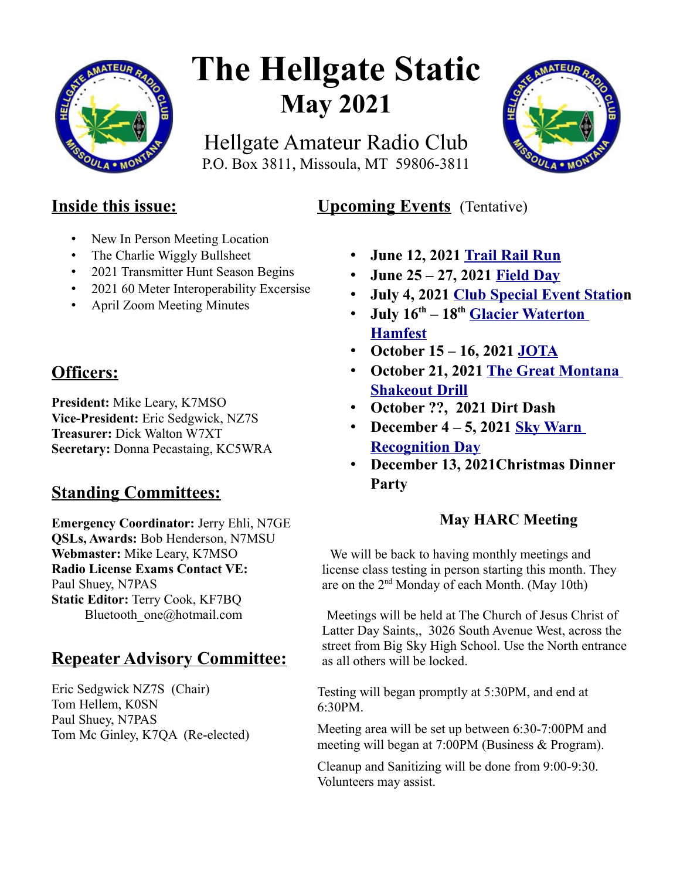

# **The Hellgate Static May 2021**

Hellgate Amateur Radio Club P.O. Box 3811, Missoula, MT 59806-3811



## **Inside this issue:**

- New In Person Meeting Location
- The Charlie Wiggly Bullsheet
- 2021 Transmitter Hunt Season Begins
- 2021 60 Meter Interoperability Excersise
- April Zoom Meeting Minutes

## **Officers:**

**President:** Mike Leary, K7MSO **Vice-President:** Eric Sedgwick, NZ7S **Treasurer:** Dick Walton W7XT **Secretary:** Donna Pecastaing, KC5WRA

## **Standing Committees:**

**Emergency Coordinator:** Jerry Ehli, N7GE **QSLs, Awards:** Bob Henderson, N7MSU **Webmaster:** Mike Leary, K7MSO **Radio License Exams Contact VE:** Paul Shuey, N7PAS **Static Editor:** Terry Cook, KF7BQ Bluetooth\_one@hotmail.com

## **Repeater Advisory Committee:**

Eric Sedgwick NZ7S (Chair) Tom Hellem, K0SN Paul Shuey, N7PAS Tom Mc Ginley, K7QA (Re-elected)

## **Upcoming Events** (Tentative)

- **June 12, 2021 [Trail Rail Run](https://runsignup.com/Race/MT/StRegis/TrailRailRun)**
- **June 25 27, 2021 [Field Day](https://www.w7px.org/meetings-and-events/#field-day)**
- **July 4, 2021 [Club Special Event Station](https://www.w7px.org/meetings-and-events/#fourth-of-july)**
- **July 16th 18th [Glacier Waterton](https://www.gwhamfest.org/)  [Hamfest](https://www.gwhamfest.org/)**
- **October 15 16, 2021 [JOTA](https://www.w7px.org/meetings-and-events/#jota)**
- **October 21, 2021 [The Great Montana](https://www.w7px.org/meetings-and-events/#shakeout)  [Shakeout Drill](https://www.w7px.org/meetings-and-events/#shakeout)**
- **October ??, 2021 Dirt Dash**
- **December 4 5, 2021 [Sky Warn](http://www.arrl.org/skywarn-recognition-day)  [Recognition Day](http://www.arrl.org/skywarn-recognition-day)**
- **December 13, 2021Christmas Dinner Party**

### **May HARC Meeting**

We will be back to having monthly meetings and license class testing in person starting this month. They are on the 2nd Monday of each Month. (May 10th)

Meetings will be held at The Church of Jesus Christ of Latter Day Saints,, 3026 South Avenue West, across the street from Big Sky High School. Use the North entrance as all others will be locked.

Testing will began promptly at 5:30PM, and end at 6:30PM.

Meeting area will be set up between 6:30-7:00PM and meeting will began at 7:00PM (Business & Program).

Cleanup and Sanitizing will be done from 9:00-9:30. Volunteers may assist.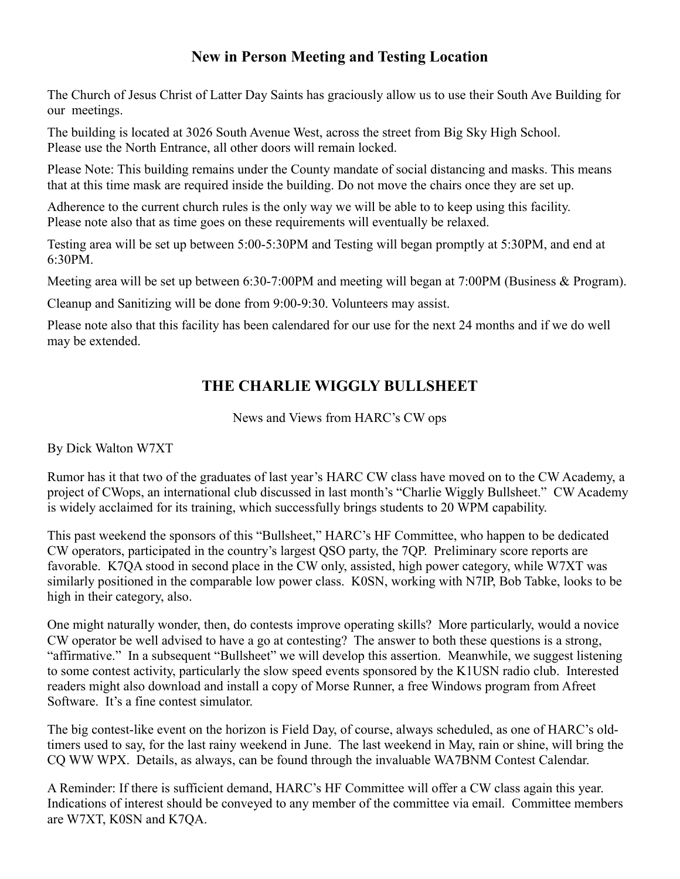#### **New in Person Meeting and Testing Location**

The Church of Jesus Christ of Latter Day Saints has graciously allow us to use their South Ave Building for our meetings.

The building is located at 3026 South Avenue West, across the street from Big Sky High School. Please use the North Entrance, all other doors will remain locked.

Please Note: This building remains under the County mandate of social distancing and masks. This means that at this time mask are required inside the building. Do not move the chairs once they are set up.

Adherence to the current church rules is the only way we will be able to to keep using this facility. Please note also that as time goes on these requirements will eventually be relaxed.

Testing area will be set up between 5:00-5:30PM and Testing will began promptly at 5:30PM, and end at 6:30PM.

Meeting area will be set up between 6:30-7:00PM and meeting will began at 7:00PM (Business & Program).

Cleanup and Sanitizing will be done from 9:00-9:30. Volunteers may assist.

Please note also that this facility has been calendared for our use for the next 24 months and if we do well may be extended.

### **THE CHARLIE WIGGLY BULLSHEET**

News and Views from HARC's CW ops

By Dick Walton W7XT

Rumor has it that two of the graduates of last year's HARC CW class have moved on to the CW Academy, a project of CWops, an international club discussed in last month's "Charlie Wiggly Bullsheet." CW Academy is widely acclaimed for its training, which successfully brings students to 20 WPM capability.

This past weekend the sponsors of this "Bullsheet," HARC's HF Committee, who happen to be dedicated CW operators, participated in the country's largest QSO party, the 7QP. Preliminary score reports are favorable. K7QA stood in second place in the CW only, assisted, high power category, while W7XT was similarly positioned in the comparable low power class. K0SN, working with N7IP, Bob Tabke, looks to be high in their category, also.

One might naturally wonder, then, do contests improve operating skills? More particularly, would a novice CW operator be well advised to have a go at contesting? The answer to both these questions is a strong, "affirmative." In a subsequent "Bullsheet" we will develop this assertion. Meanwhile, we suggest listening to some contest activity, particularly the slow speed events sponsored by the K1USN radio club. Interested readers might also download and install a copy of Morse Runner, a free Windows program from Afreet Software. It's a fine contest simulator.

The big contest-like event on the horizon is Field Day, of course, always scheduled, as one of HARC's oldtimers used to say, for the last rainy weekend in June. The last weekend in May, rain or shine, will bring the CQ WW WPX. Details, as always, can be found through the invaluable WA7BNM Contest Calendar.

A Reminder: If there is sufficient demand, HARC's HF Committee will offer a CW class again this year. Indications of interest should be conveyed to any member of the committee via email. Committee members are W7XT, K0SN and K7QA.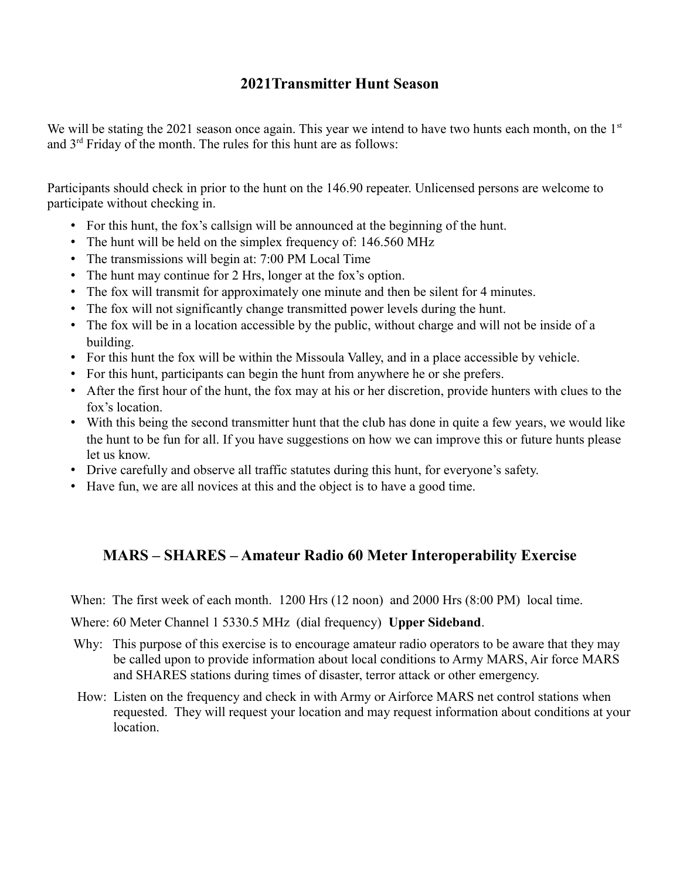#### **2021Transmitter Hunt Season**

We will be stating the 2021 season once again. This year we intend to have two hunts each month, on the  $1<sup>st</sup>$ and  $3<sup>rd</sup>$  Friday of the month. The rules for this hunt are as follows:

Participants should check in prior to the hunt on the 146.90 repeater. Unlicensed persons are welcome to participate without checking in.

- For this hunt, the fox's callsign will be announced at the beginning of the hunt.
- The hunt will be held on the simplex frequency of: 146.560 MHz
- The transmissions will begin at: 7:00 PM Local Time
- The hunt may continue for 2 Hrs, longer at the fox's option.
- The fox will transmit for approximately one minute and then be silent for 4 minutes.
- The fox will not significantly change transmitted power levels during the hunt.
- The fox will be in a location accessible by the public, without charge and will not be inside of a building.
- For this hunt the fox will be within the Missoula Valley, and in a place accessible by vehicle.
- For this hunt, participants can begin the hunt from anywhere he or she prefers.
- After the first hour of the hunt, the fox may at his or her discretion, provide hunters with clues to the fox's location.
- With this being the second transmitter hunt that the club has done in quite a few years, we would like the hunt to be fun for all. If you have suggestions on how we can improve this or future hunts please let us know.
- Drive carefully and observe all traffic statutes during this hunt, for everyone's safety.
- Have fun, we are all novices at this and the object is to have a good time.

#### **MARS – SHARES – Amateur Radio 60 Meter Interoperability Exercise**

When: The first week of each month. 1200 Hrs (12 noon) and 2000 Hrs (8:00 PM) local time.

#### Where: 60 Meter Channel 1 5330.5 MHz (dial frequency) **Upper Sideband**.

- Why: This purpose of this exercise is to encourage amateur radio operators to be aware that they may be called upon to provide information about local conditions to Army MARS, Air force MARS and SHARES stations during times of disaster, terror attack or other emergency.
- How: Listen on the frequency and check in with Army or Airforce MARS net control stations when requested. They will request your location and may request information about conditions at your location.